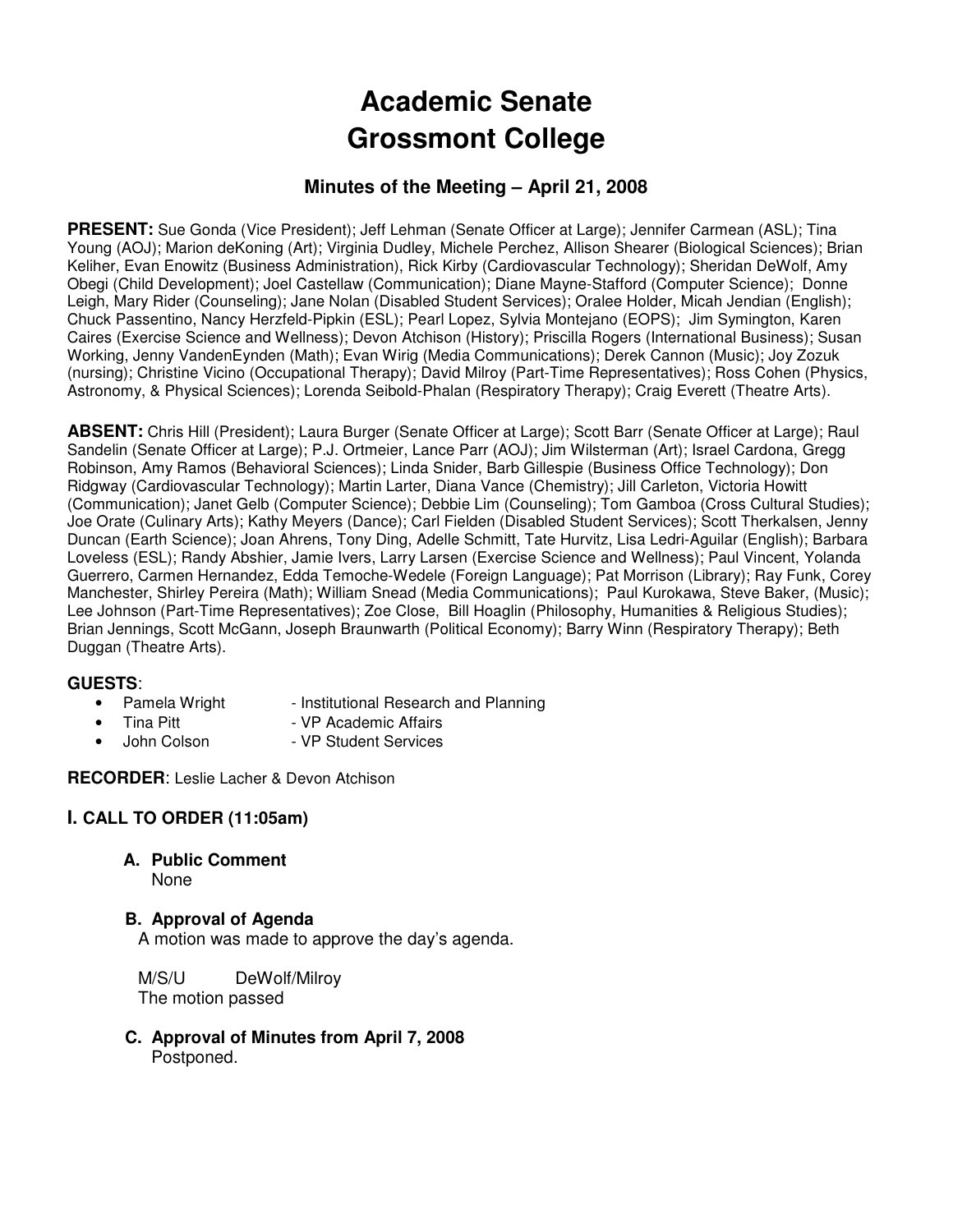# **Academic Senate Grossmont College**

# **Minutes of the Meeting – April 21, 2008**

**PRESENT:** Sue Gonda (Vice President); Jeff Lehman (Senate Officer at Large); Jennifer Carmean (ASL); Tina Young (AOJ); Marion deKoning (Art); Virginia Dudley, Michele Perchez, Allison Shearer (Biological Sciences); Brian Keliher, Evan Enowitz (Business Administration), Rick Kirby (Cardiovascular Technology); Sheridan DeWolf, Amy Obegi (Child Development); Joel Castellaw (Communication); Diane Mayne-Stafford (Computer Science); Donne Leigh, Mary Rider (Counseling); Jane Nolan (Disabled Student Services); Oralee Holder, Micah Jendian (English); Chuck Passentino, Nancy Herzfeld-Pipkin (ESL); Pearl Lopez, Sylvia Montejano (EOPS); Jim Symington, Karen Caires (Exercise Science and Wellness); Devon Atchison (History); Priscilla Rogers (International Business); Susan Working, Jenny VandenEynden (Math); Evan Wirig (Media Communications); Derek Cannon (Music); Joy Zozuk (nursing); Christine Vicino (Occupational Therapy); David Milroy (Part-Time Representatives); Ross Cohen (Physics, Astronomy, & Physical Sciences); Lorenda Seibold-Phalan (Respiratory Therapy); Craig Everett (Theatre Arts).

**ABSENT:** Chris Hill (President); Laura Burger (Senate Officer at Large); Scott Barr (Senate Officer at Large); Raul Sandelin (Senate Officer at Large); P.J. Ortmeier, Lance Parr (AOJ); Jim Wilsterman (Art); Israel Cardona, Gregg Robinson, Amy Ramos (Behavioral Sciences); Linda Snider, Barb Gillespie (Business Office Technology); Don Ridgway (Cardiovascular Technology); Martin Larter, Diana Vance (Chemistry); Jill Carleton, Victoria Howitt (Communication); Janet Gelb (Computer Science); Debbie Lim (Counseling); Tom Gamboa (Cross Cultural Studies); Joe Orate (Culinary Arts); Kathy Meyers (Dance); Carl Fielden (Disabled Student Services); Scott Therkalsen, Jenny Duncan (Earth Science); Joan Ahrens, Tony Ding, Adelle Schmitt, Tate Hurvitz, Lisa Ledri-Aguilar (English); Barbara Loveless (ESL); Randy Abshier, Jamie Ivers, Larry Larsen (Exercise Science and Wellness); Paul Vincent, Yolanda Guerrero, Carmen Hernandez, Edda Temoche-Wedele (Foreign Language); Pat Morrison (Library); Ray Funk, Corey Manchester, Shirley Pereira (Math); William Snead (Media Communications); Paul Kurokawa, Steve Baker, (Music); Lee Johnson (Part-Time Representatives); Zoe Close, Bill Hoaglin (Philosophy, Humanities & Religious Studies); Brian Jennings, Scott McGann, Joseph Braunwarth (Political Economy); Barry Winn (Respiratory Therapy); Beth Duggan (Theatre Arts).

#### **GUESTS**:

- 
- Pamela Wright Institutional Research and Planning
	- Tina Pitt  **VP Academic Affairs** 
		-
	- John Colson VP Student Services

**RECORDER**: Leslie Lacher & Devon Atchison

# **I. CALL TO ORDER (11:05am)**

**A. Public Comment**  None

#### **B. Approval of Agenda**

A motion was made to approve the day's agenda.

M/S/U DeWolf/Milroy The motion passed

**C. Approval of Minutes from April 7, 2008**  Postponed.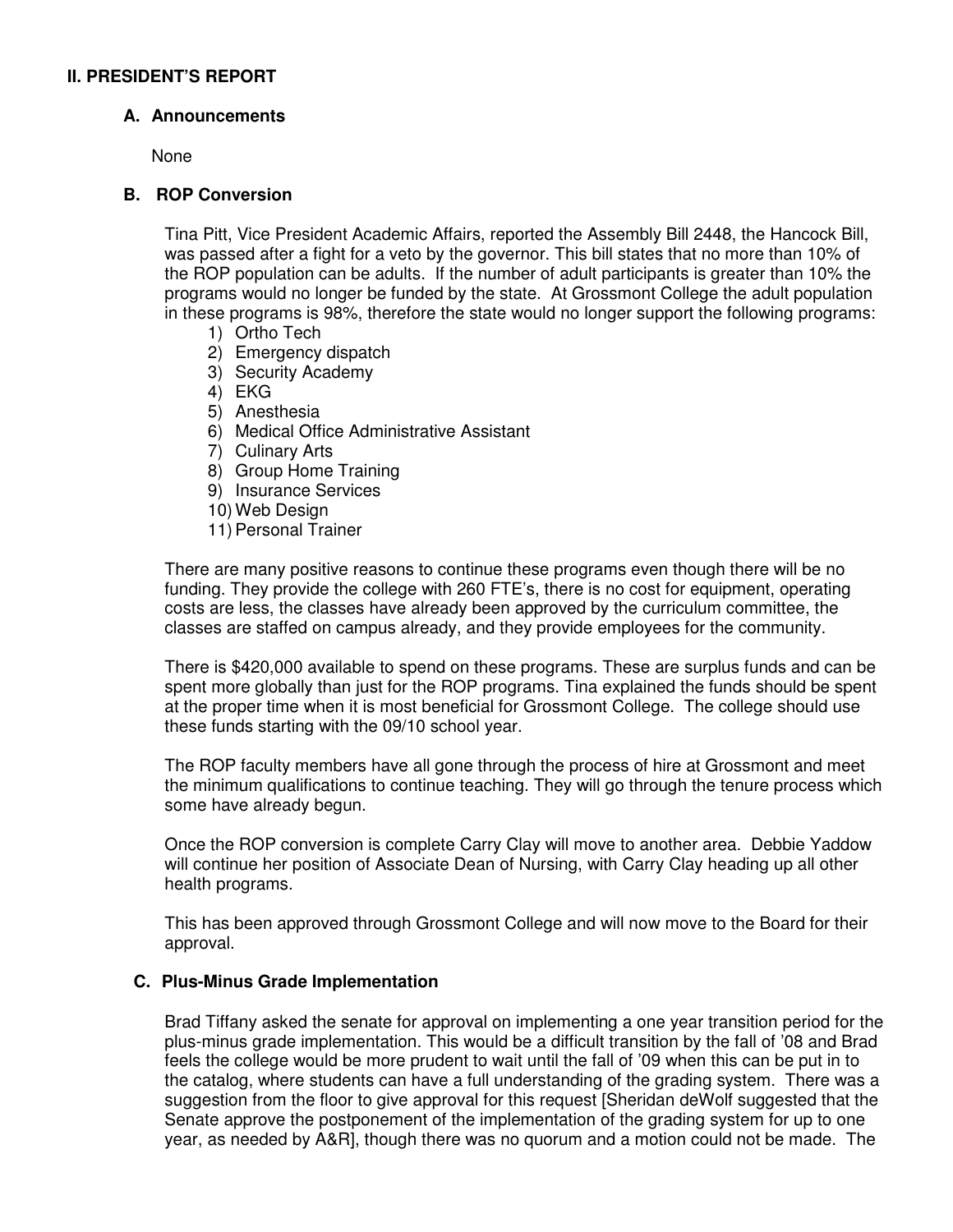#### **II. PRESIDENT'S REPORT**

#### **A. Announcements**

None

#### **B. ROP Conversion**

Tina Pitt, Vice President Academic Affairs, reported the Assembly Bill 2448, the Hancock Bill, was passed after a fight for a veto by the governor. This bill states that no more than 10% of the ROP population can be adults. If the number of adult participants is greater than 10% the programs would no longer be funded by the state. At Grossmont College the adult population in these programs is 98%, therefore the state would no longer support the following programs:

- 1) Ortho Tech
- 2) Emergency dispatch
- 3) Security Academy
- 4) EKG
- 5) Anesthesia
- 6) Medical Office Administrative Assistant
- 7) Culinary Arts
- 8) Group Home Training
- 9) Insurance Services
- 10) Web Design
- 11) Personal Trainer

There are many positive reasons to continue these programs even though there will be no funding. They provide the college with 260 FTE's, there is no cost for equipment, operating costs are less, the classes have already been approved by the curriculum committee, the classes are staffed on campus already, and they provide employees for the community.

There is \$420,000 available to spend on these programs. These are surplus funds and can be spent more globally than just for the ROP programs. Tina explained the funds should be spent at the proper time when it is most beneficial for Grossmont College. The college should use these funds starting with the 09/10 school year.

The ROP faculty members have all gone through the process of hire at Grossmont and meet the minimum qualifications to continue teaching. They will go through the tenure process which some have already begun.

Once the ROP conversion is complete Carry Clay will move to another area. Debbie Yaddow will continue her position of Associate Dean of Nursing, with Carry Clay heading up all other health programs.

This has been approved through Grossmont College and will now move to the Board for their approval.

#### **C. Plus-Minus Grade Implementation**

Brad Tiffany asked the senate for approval on implementing a one year transition period for the plus-minus grade implementation. This would be a difficult transition by the fall of '08 and Brad feels the college would be more prudent to wait until the fall of '09 when this can be put in to the catalog, where students can have a full understanding of the grading system. There was a suggestion from the floor to give approval for this request [Sheridan deWolf suggested that the Senate approve the postponement of the implementation of the grading system for up to one year, as needed by A&R], though there was no quorum and a motion could not be made. The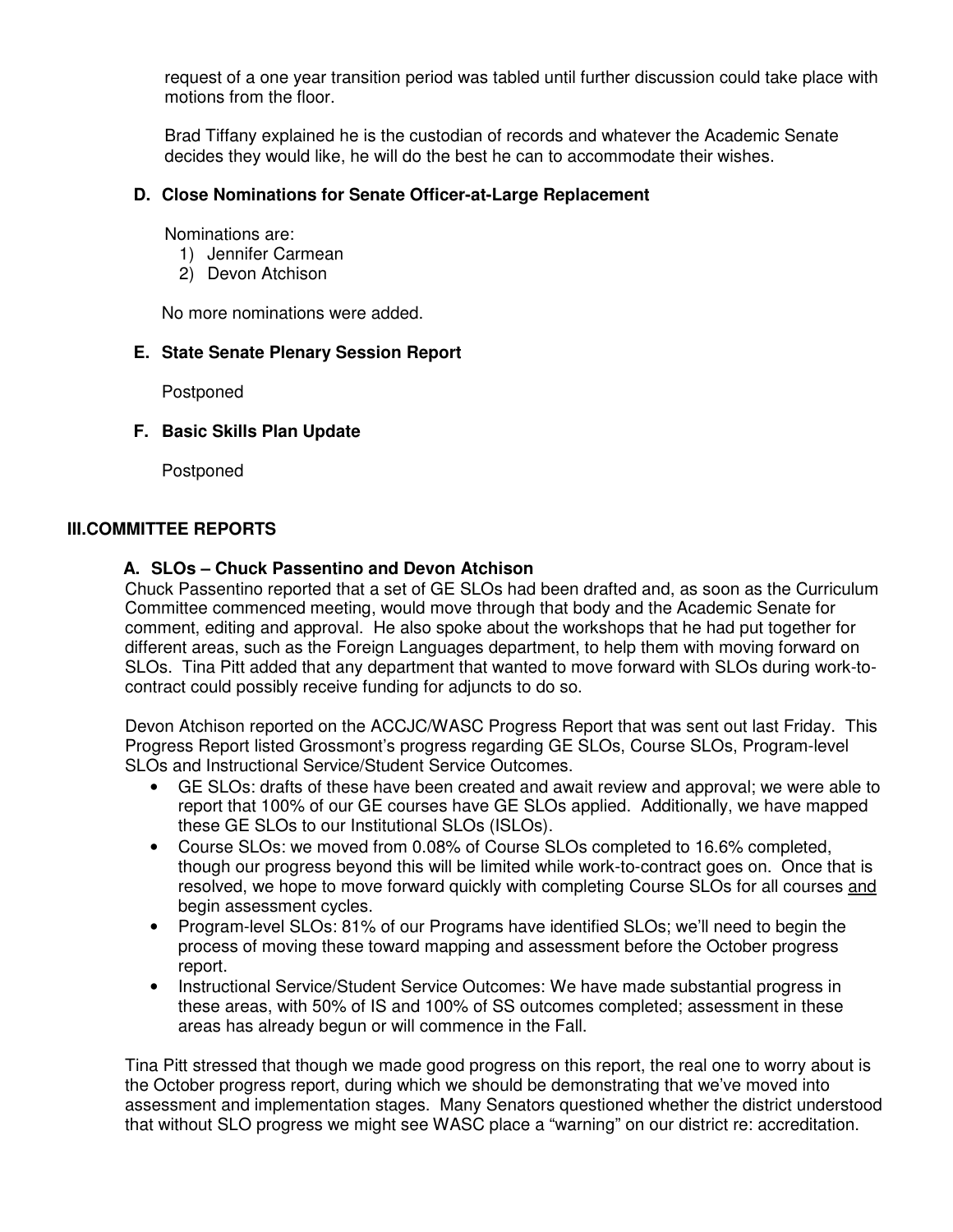request of a one year transition period was tabled until further discussion could take place with motions from the floor.

Brad Tiffany explained he is the custodian of records and whatever the Academic Senate decides they would like, he will do the best he can to accommodate their wishes.

#### **D. Close Nominations for Senate Officer-at-Large Replacement**

Nominations are:

- 1) Jennifer Carmean
- 2) Devon Atchison

No more nominations were added.

#### **E. State Senate Plenary Session Report**

Postponed

#### **F. Basic Skills Plan Update**

Postponed

#### **III.COMMITTEE REPORTS**

#### **A. SLOs – Chuck Passentino and Devon Atchison**

Chuck Passentino reported that a set of GE SLOs had been drafted and, as soon as the Curriculum Committee commenced meeting, would move through that body and the Academic Senate for comment, editing and approval. He also spoke about the workshops that he had put together for different areas, such as the Foreign Languages department, to help them with moving forward on SLOs. Tina Pitt added that any department that wanted to move forward with SLOs during work-tocontract could possibly receive funding for adjuncts to do so.

Devon Atchison reported on the ACCJC/WASC Progress Report that was sent out last Friday. This Progress Report listed Grossmont's progress regarding GE SLOs, Course SLOs, Program-level SLOs and Instructional Service/Student Service Outcomes.

- GE SLOs: drafts of these have been created and await review and approval; we were able to report that 100% of our GE courses have GE SLOs applied. Additionally, we have mapped these GE SLOs to our Institutional SLOs (ISLOs).
- Course SLOs: we moved from 0.08% of Course SLOs completed to 16.6% completed, though our progress beyond this will be limited while work-to-contract goes on. Once that is resolved, we hope to move forward quickly with completing Course SLOs for all courses and begin assessment cycles.
- Program-level SLOs: 81% of our Programs have identified SLOs; we'll need to begin the process of moving these toward mapping and assessment before the October progress report.
- Instructional Service/Student Service Outcomes: We have made substantial progress in these areas, with 50% of IS and 100% of SS outcomes completed; assessment in these areas has already begun or will commence in the Fall.

Tina Pitt stressed that though we made good progress on this report, the real one to worry about is the October progress report, during which we should be demonstrating that we've moved into assessment and implementation stages. Many Senators questioned whether the district understood that without SLO progress we might see WASC place a "warning" on our district re: accreditation.